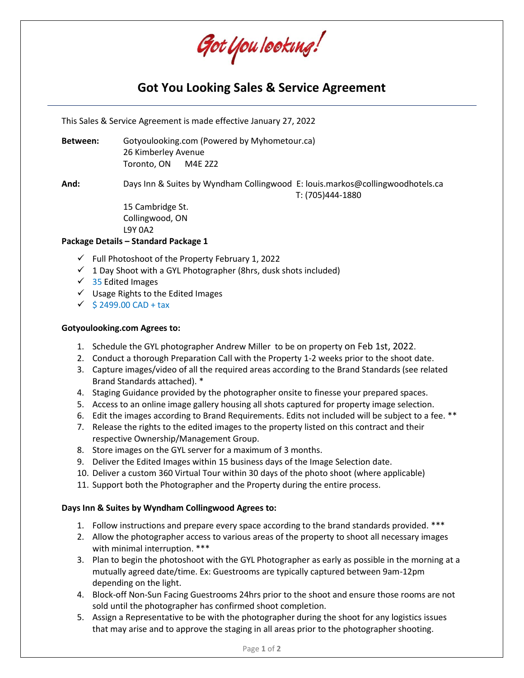Got You Iooking!

# **Got You Looking Sales & Service Agreement**

This Sales & Service Agreement is made effective January 27, 2022

**Between:** Gotyoulooking.com (Powered by Myhometour.ca) 26 Kimberley Avenue Toronto, ON M4E 2Z2

**And:** Days Inn & Suites by Wyndham Collingwood E: louis.markos@collingwoodhotels.ca T: (705)444-1880

> 15 Cambridge St. Collingwood, ON L9Y 0A2

#### **Package Details – Standard Package 1**

- $\checkmark$  Full Photoshoot of the Property February 1, 2022
- $\checkmark$  1 Day Shoot with a GYL Photographer (8hrs, dusk shots included)
- $\checkmark$  35 Edited Images
- ✓ Usage Rights to the Edited Images
- $\checkmark$  \$ 2499.00 CAD + tax

#### **Gotyoulooking.com Agrees to:**

- 1. Schedule the GYL photographer Andrew Miller to be on property on Feb 1st, 2022.
- 2. Conduct a thorough Preparation Call with the Property 1-2 weeks prior to the shoot date.
- 3. Capture images/video of all the required areas according to the Brand Standards (see related Brand Standards attached). \*
- 4. Staging Guidance provided by the photographer onsite to finesse your prepared spaces.
- 5. Access to an online image gallery housing all shots captured for property image selection.
- 6. Edit the images according to Brand Requirements. Edits not included will be subject to a fee. \*\*
- 7. Release the rights to the edited images to the property listed on this contract and their respective Ownership/Management Group.
- 8. Store images on the GYL server for a maximum of 3 months.
- 9. Deliver the Edited Images within 15 business days of the Image Selection date.
- 10. Deliver a custom 360 Virtual Tour within 30 days of the photo shoot (where applicable)
- 11. Support both the Photographer and the Property during the entire process.

#### **Days Inn & Suites by Wyndham Collingwood Agrees to:**

- 1. Follow instructions and prepare every space according to the brand standards provided. \*\*\*
- 2. Allow the photographer access to various areas of the property to shoot all necessary images with minimal interruption. \*\*\*
- 3. Plan to begin the photoshoot with the GYL Photographer as early as possible in the morning at a mutually agreed date/time. Ex: Guestrooms are typically captured between 9am-12pm depending on the light.
- 4. Block-off Non-Sun Facing Guestrooms 24hrs prior to the shoot and ensure those rooms are not sold until the photographer has confirmed shoot completion.
- 5. Assign a Representative to be with the photographer during the shoot for any logistics issues that may arise and to approve the staging in all areas prior to the photographer shooting.